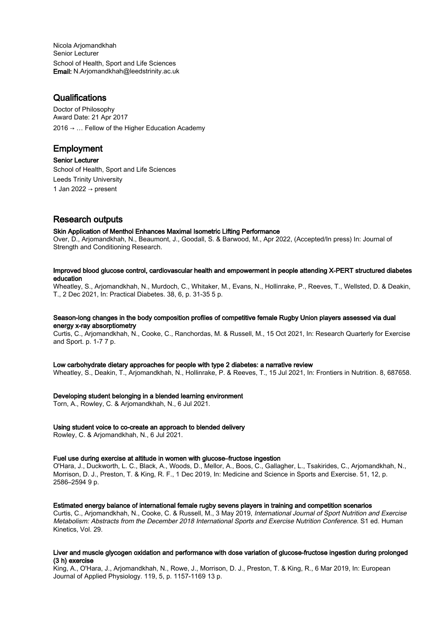Nicola Arjomandkhah Senior Lecturer School of Health, Sport and Life Sciences Email: N.Arjomandkhah@leedstrinity.ac.uk

# **Qualifications**

Doctor of Philosophy Award Date: 21 Apr 2017  $2016 \rightarrow \ldots$  Fellow of the Higher Education Academy

# Employment

Senior Lecturer School of Health, Sport and Life Sciences Leeds Trinity University 1 Jan 2022  $\rightarrow$  present

# Research outputs

# Skin Application of Menthol Enhances Maximal Isometric Lifting Performance

Over, D., Arjomandkhah, N., Beaumont, J., Goodall, S. & Barwood, M., Apr 2022, (Accepted/In press) In: Journal of Strength and Conditioning Research.

## Improved blood glucose control, cardiovascular health and empowerment in people attending X-PERT structured diabetes education

Wheatley, S., Arjomandkhah, N., Murdoch, C., Whitaker, M., Evans, N., Hollinrake, P., Reeves, T., Wellsted, D. & Deakin, T., 2 Dec 2021, In: Practical Diabetes. 38, 6, p. 31-35 5 p.

#### Season-long changes in the body composition profiles of competitive female Rugby Union players assessed via dual energy x-ray absorptiometry

Curtis, C., Arjomandkhah, N., Cooke, C., Ranchordas, M. & Russell, M., 15 Oct 2021, In: Research Quarterly for Exercise and Sport. p. 1-7 7 p.

#### Low carbohydrate dietary approaches for people with type 2 diabetes: a narrative review

Wheatley, S., Deakin, T., Arjomandkhah, N., Hollinrake, P. & Reeves, T., 15 Jul 2021, In: Frontiers in Nutrition. 8, 687658.

#### Developing student belonging in a blended learning environment

Torn, A., Rowley, C. & Arjomandkhah, N., 6 Jul 2021.

#### Using student voice to co-create an approach to blended delivery

Rowley, C. & Arjomandkhah, N., 6 Jul 2021.

#### Fuel use during exercise at altitude in women with glucose–fructose ingestion

O'Hara, J., Duckworth, L. C., Black, A., Woods, D., Mellor, A., Boos, C., Gallagher, L., Tsakirides, C., Arjomandkhah, N., Morrison, D. J., Preston, T. & King, R. F., 1 Dec 2019, In: Medicine and Science in Sports and Exercise. 51, 12, p. 2586–2594 9 p.

#### Estimated energy balance of international female rugby sevens players in training and competition scenarios

Curtis, C., Arjomandkhah, N., Cooke, C. & Russell, M., 3 May 2019, International Journal of Sport Nutrition and Exercise Metabolism: Abstracts from the December 2018 International Sports and Exercise Nutrition Conference. S1 ed. Human Kinetics, Vol. 29.

# Liver and muscle glycogen oxidation and performance with dose variation of glucose-fructose ingestion during prolonged (3 h) exercise

King, A., O'Hara, J., Arjomandkhah, N., Rowe, J., Morrison, D. J., Preston, T. & King, R., 6 Mar 2019, In: European Journal of Applied Physiology. 119, 5, p. 1157-1169 13 p.